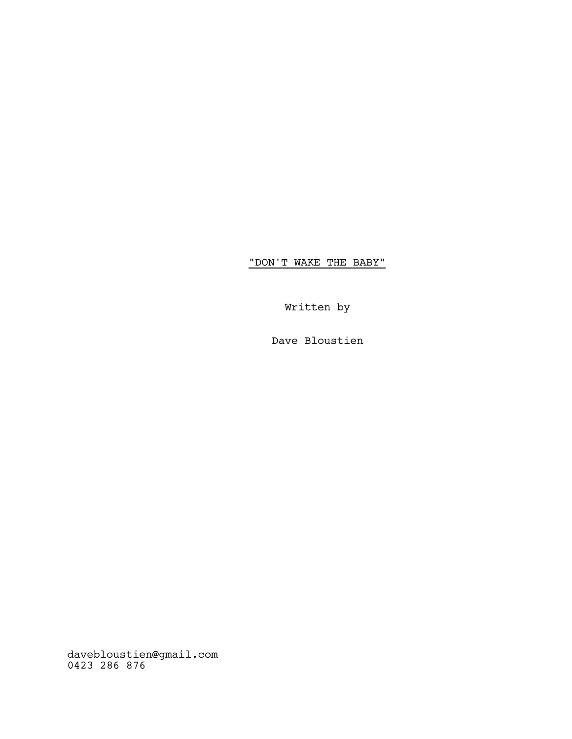"DON'T WAKE THE BABY"

Written by

Dave Bloustien

davebloustien@gmail.com 0423 286 876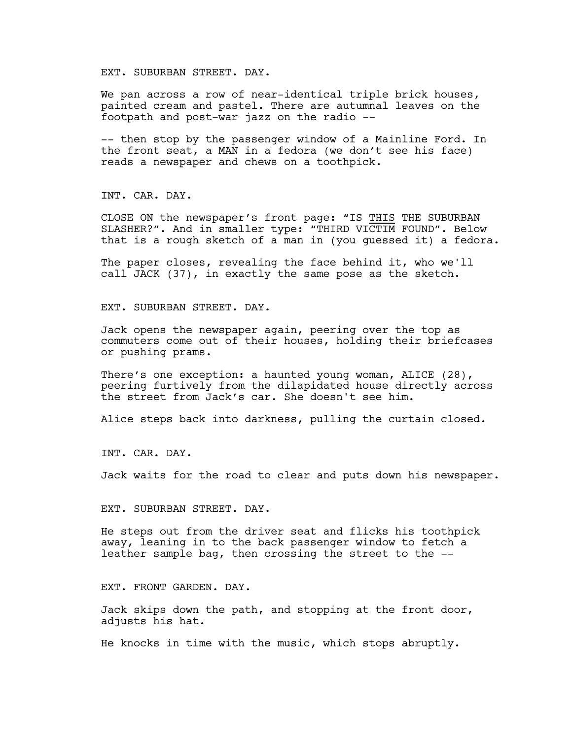EXT. SUBURBAN STREET. DAY.

We pan across a row of near-identical triple brick houses, painted cream and pastel. There are autumnal leaves on the footpath and post-war jazz on the radio --

-- then stop by the passenger window of a Mainline Ford. In the front seat, a MAN in a fedora (we don't see his face) reads a newspaper and chews on a toothpick.

INT. CAR. DAY.

CLOSE ON the newspaper's front page: "IS THIS THE SUBURBAN SLASHER?". And in smaller type: "THIRD VICTIM FOUND". Below that is a rough sketch of a man in (you guessed it) a fedora.

The paper closes, revealing the face behind it, who we'll call JACK (37), in exactly the same pose as the sketch.

EXT. SUBURBAN STREET. DAY.

Jack opens the newspaper again, peering over the top as commuters come out of their houses, holding their briefcases or pushing prams.

There's one exception: a haunted young woman, ALICE (28), peering furtively from the dilapidated house directly across the street from Jack's car. She doesn't see him.

Alice steps back into darkness, pulling the curtain closed.

INT. CAR. DAY.

Jack waits for the road to clear and puts down his newspaper.

EXT. SUBURBAN STREET. DAY.

He steps out from the driver seat and flicks his toothpick away, leaning in to the back passenger window to fetch a leather sample bag, then crossing the street to the --

EXT. FRONT GARDEN. DAY.

Jack skips down the path, and stopping at the front door, adjusts his hat.

He knocks in time with the music, which stops abruptly.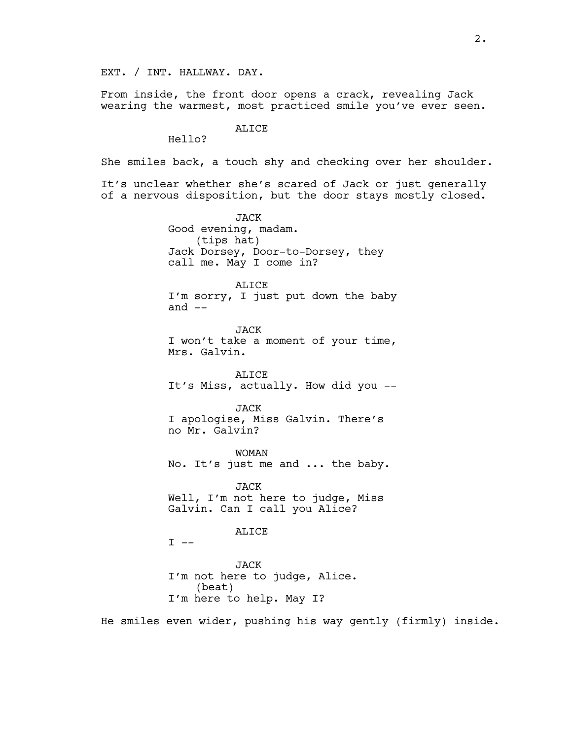EXT. / INT. HALLWAY. DAY.

From inside, the front door opens a crack, revealing Jack wearing the warmest, most practiced smile you've ever seen.

#### ALICE

Hello?

She smiles back, a touch shy and checking over her shoulder.

It's unclear whether she's scared of Jack or just generally of a nervous disposition, but the door stays mostly closed.

> JACK Good evening, madam. (tips hat) Jack Dorsey, Door-to-Dorsey, they call me. May I come in?

ALICE I'm sorry, I just put down the baby and  $--$ 

JACK I won't take a moment of your time, Mrs. Galvin.

ALICE It's Miss, actually. How did you --

JACK I apologise, Miss Galvin. There's no Mr. Galvin?

WOMAN No. It's just me and ... the baby.

JACK Well, I'm not here to judge, Miss Galvin. Can I call you Alice?

ALICE

 $I$   $-$ 

JACK I'm not here to judge, Alice. (beat) I'm here to help. May I?

He smiles even wider, pushing his way gently (firmly) inside.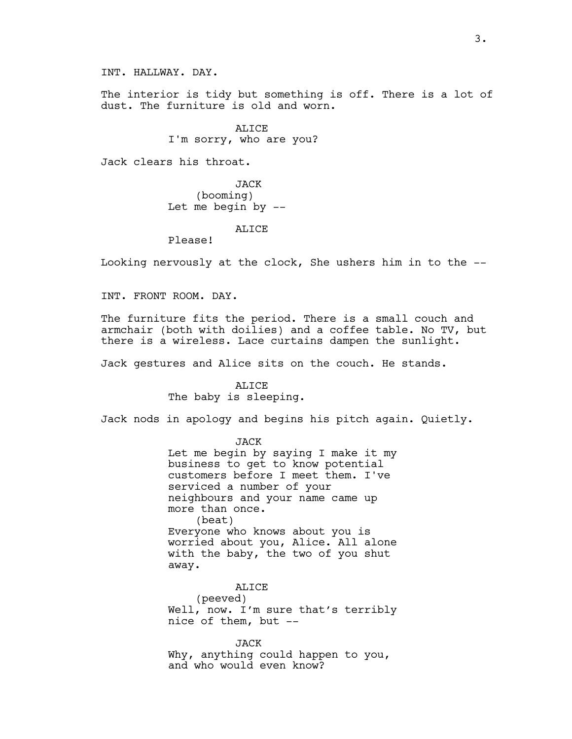INT. HALLWAY. DAY.

The interior is tidy but something is off. There is a lot of dust. The furniture is old and worn.

> ALICE I'm sorry, who are you?

Jack clears his throat.

JACK (booming) Let me begin by --

ALICE

Please!

Looking nervously at the clock, She ushers him in to the --

INT. FRONT ROOM. DAY.

The furniture fits the period. There is a small couch and armchair (both with doilies) and a coffee table. No TV, but there is a wireless. Lace curtains dampen the sunlight.

Jack gestures and Alice sits on the couch. He stands.

ALICE The baby is sleeping.

Jack nods in apology and begins his pitch again. Quietly.

JACK Let me begin by saying I make it my business to get to know potential customers before I meet them. I've serviced a number of your neighbours and your name came up more than once. (beat) Everyone who knows about you is worried about you, Alice. All alone with the baby, the two of you shut away.

ALICE (peeved) Well, now. I'm sure that's terribly nice of them, but --

JACK Why, anything could happen to you, and who would even know?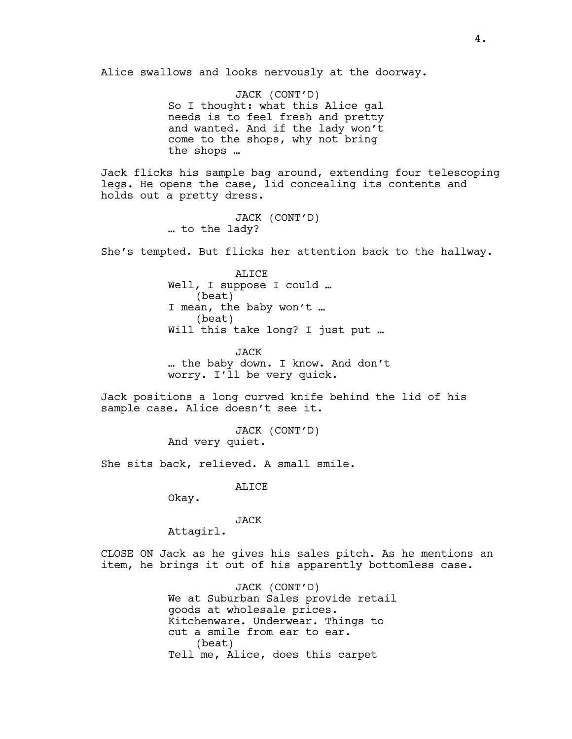Alice swallows and looks nervously at the doorway.

JACK (CONT'D) So I thought: what this Alice gal needs is to feel fresh and pretty and wanted. And if the lady won't come to the shops, why not bring the shops …

Jack flicks his sample bag around, extending four telescoping legs. He opens the case, lid concealing its contents and holds out a pretty dress.

> JACK (CONT'D) … to the lady?

She's tempted. But flicks her attention back to the hallway.

ALICE Well, I suppose I could … (beat) I mean, the baby won't … (beat) Will this take long? I just put ...

JACK … the baby down. I know. And don't worry. I'll be very quick.

Jack positions a long curved knife behind the lid of his sample case. Alice doesn't see it.

> JACK (CONT'D) And very quiet.

She sits back, relieved. A small smile.

ALICE

Okay.

JACK

Attagirl.

CLOSE ON Jack as he gives his sales pitch. As he mentions an item, he brings it out of his apparently bottomless case.

> JACK (CONT'D) We at Suburban Sales provide retail goods at wholesale prices. Kitchenware. Underwear. Things to cut a smile from ear to ear. (beat) Tell me, Alice, does this carpet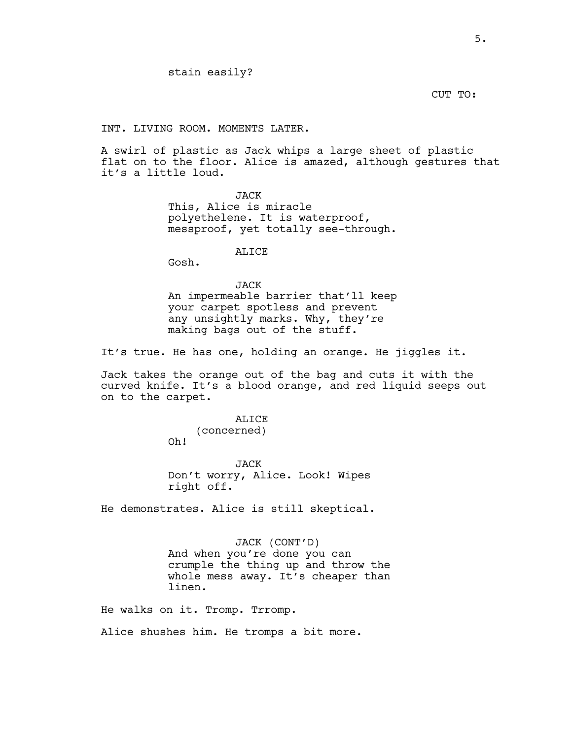CUT TO:

INT. LIVING ROOM. MOMENTS LATER.

A swirl of plastic as Jack whips a large sheet of plastic flat on to the floor. Alice is amazed, although gestures that it's a little loud.

> JACK This, Alice is miracle polyethelene. It is waterproof, messproof, yet totally see-through.

> > ALICE

Gosh.

JACK An impermeable barrier that'll keep your carpet spotless and prevent any unsightly marks. Why, they're making bags out of the stuff.

It's true. He has one, holding an orange. He jiggles it.

Jack takes the orange out of the bag and cuts it with the curved knife. It's a blood orange, and red liquid seeps out on to the carpet.

> ALICE (concerned) Oh!

JACK Don't worry, Alice. Look! Wipes right off.

He demonstrates. Alice is still skeptical.

JACK (CONT'D) And when you're done you can crumple the thing up and throw the whole mess away. It's cheaper than linen.

He walks on it. Tromp. Trromp.

Alice shushes him. He tromps a bit more.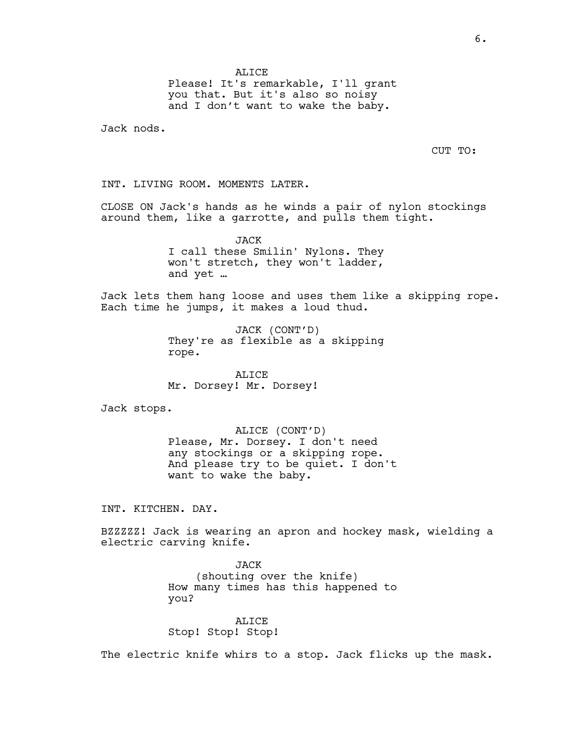**ALICE** Please! It's remarkable, I'll grant you that. But it's also so noisy and I don't want to wake the baby.

Jack nods.

CUT TO:

INT. LIVING ROOM. MOMENTS LATER.

CLOSE ON Jack's hands as he winds a pair of nylon stockings around them, like a garrotte, and pulls them tight.

> JACK I call these Smilin' Nylons. They won't stretch, they won't ladder, and yet …

Jack lets them hang loose and uses them like a skipping rope. Each time he jumps, it makes a loud thud.

> JACK (CONT'D) They're as flexible as a skipping rope.

ALICE Mr. Dorsey! Mr. Dorsey!

Jack stops.

ALICE (CONT'D) Please, Mr. Dorsey. I don't need any stockings or a skipping rope. And please try to be quiet. I don't want to wake the baby.

INT. KITCHEN. DAY.

BZZZZZ! Jack is wearing an apron and hockey mask, wielding a electric carving knife.

> JACK (shouting over the knife) How many times has this happened to you?

ALICE Stop! Stop! Stop!

The electric knife whirs to a stop. Jack flicks up the mask.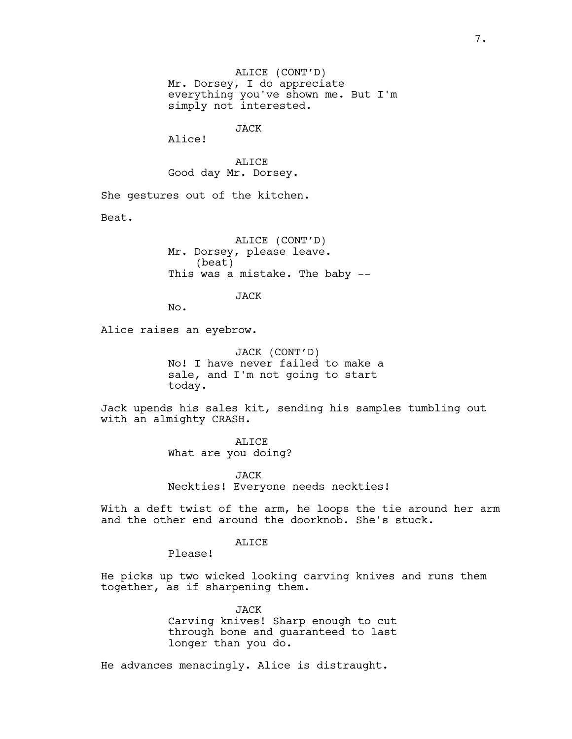ALICE (CONT'D) Mr. Dorsey, I do appreciate everything you've shown me. But I'm simply not interested.

## JACK

Alice!

ALICE Good day Mr. Dorsey.

She gestures out of the kitchen.

Beat.

ALICE (CONT'D) Mr. Dorsey, please leave. (beat) This was a mistake. The baby --

JACK

No.

Alice raises an eyebrow.

JACK (CONT'D) No! I have never failed to make a sale, and I'm not going to start today.

Jack upends his sales kit, sending his samples tumbling out with an almighty CRASH.

> ALICE What are you doing?

JACK Neckties! Everyone needs neckties!

With a deft twist of the arm, he loops the tie around her arm and the other end around the doorknob. She's stuck.

## **ALICE**

Please!

He picks up two wicked looking carving knives and runs them together, as if sharpening them.

> JACK Carving knives! Sharp enough to cut through bone and guaranteed to last longer than you do.

He advances menacingly. Alice is distraught.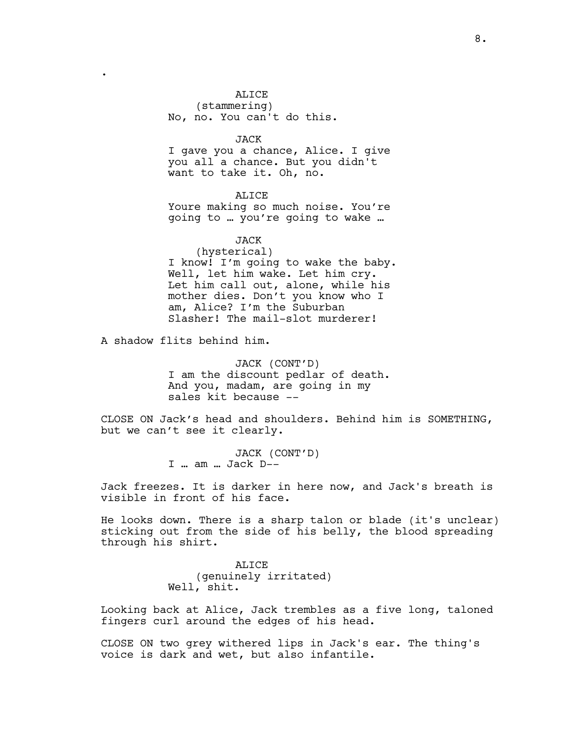#### ALICE

(stammering) No, no. You can't do this.

JACK

I gave you a chance, Alice. I give you all a chance. But you didn't want to take it. Oh, no.

ALICE Youre making so much noise. You're going to … you're going to wake …

JACK

# (hysterical) I know! I'm going to wake the baby. Well, let him wake. Let him cry. Let him call out, alone, while his mother dies. Don't you know who I am, Alice? I'm the Suburban Slasher! The mail-slot murderer!

A shadow flits behind him.

.

JACK (CONT'D) I am the discount pedlar of death. And you, madam, are going in my sales kit because --

CLOSE ON Jack's head and shoulders. Behind him is SOMETHING, but we can't see it clearly.

> JACK (CONT'D) I … am … Jack D--

Jack freezes. It is darker in here now, and Jack's breath is visible in front of his face.

He looks down. There is a sharp talon or blade (it's unclear) sticking out from the side of his belly, the blood spreading through his shirt.

> ALICE (genuinely irritated) Well, shit.

Looking back at Alice, Jack trembles as a five long, taloned fingers curl around the edges of his head.

CLOSE ON two grey withered lips in Jack's ear. The thing's voice is dark and wet, but also infantile.